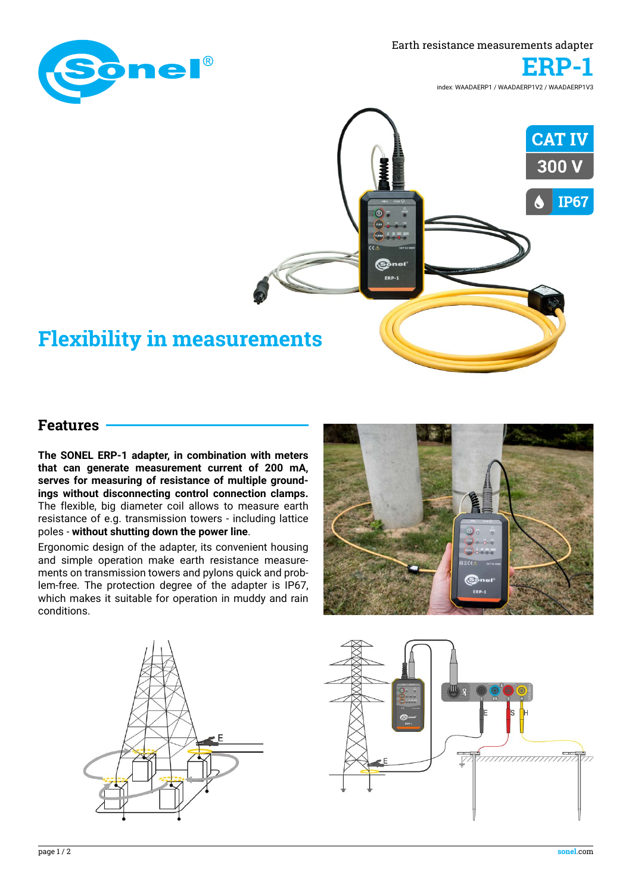

Earth resistance measurements adapter



index: WAADAERP1 / WAADAERP1V2 / WAADAERP1V3



## **Features**

**The SONEL ERP-1 adapter, in combination with meters that can generate measurement current of 200 mA, serves for measuring of resistance of multiple groundings without disconnecting control connection clamps.**  The flexible, big diameter coil allows to measure earth resistance of e.g. transmission towers - including lattice poles - **without shutting down the power line**.

Ergonomic design of the adapter, its convenient housing and simple operation make earth resistance measurements on transmission towers and pylons quick and problem-free. The protection degree of the adapter is IP67, which makes it suitable for operation in muddy and rain conditions.